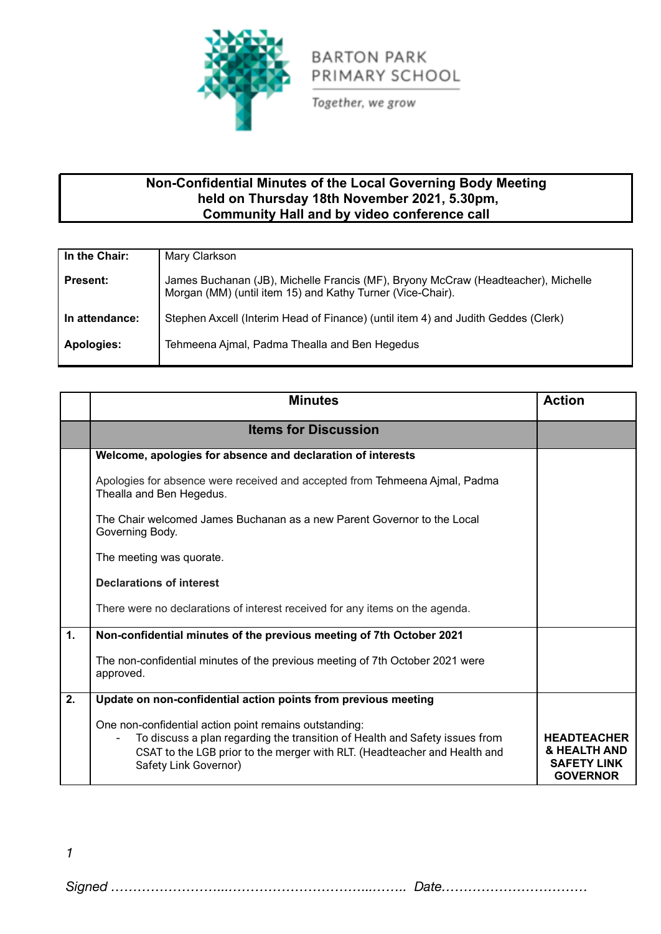

Together, we grow

## **Non-Confidential Minutes of the Local Governing Body Meeting held on Thursday 18th November 2021, 5.30pm, Community Hall and by video conference call**

| In the Chair:   | Mary Clarkson                                                                                                                                   |
|-----------------|-------------------------------------------------------------------------------------------------------------------------------------------------|
| <b>Present:</b> | James Buchanan (JB), Michelle Francis (MF), Bryony McCraw (Headteacher), Michelle<br>Morgan (MM) (until item 15) and Kathy Turner (Vice-Chair). |
| In attendance:  | Stephen Axcell (Interim Head of Finance) (until item 4) and Judith Geddes (Clerk)                                                               |
| Apologies:      | Tehmeena Ajmal, Padma Thealla and Ben Hegedus                                                                                                   |

|                | <b>Minutes</b>                                                                                                                                                                                                                              | <b>Action</b>                                                               |
|----------------|---------------------------------------------------------------------------------------------------------------------------------------------------------------------------------------------------------------------------------------------|-----------------------------------------------------------------------------|
|                | <b>Items for Discussion</b>                                                                                                                                                                                                                 |                                                                             |
|                | Welcome, apologies for absence and declaration of interests                                                                                                                                                                                 |                                                                             |
|                | Apologies for absence were received and accepted from Tehmeena Ajmal, Padma<br>Thealla and Ben Hegedus.                                                                                                                                     |                                                                             |
|                | The Chair welcomed James Buchanan as a new Parent Governor to the Local<br>Governing Body.                                                                                                                                                  |                                                                             |
|                | The meeting was quorate.                                                                                                                                                                                                                    |                                                                             |
|                | <b>Declarations of interest</b>                                                                                                                                                                                                             |                                                                             |
|                | There were no declarations of interest received for any items on the agenda.                                                                                                                                                                |                                                                             |
| $\mathbf{1}$ . | Non-confidential minutes of the previous meeting of 7th October 2021                                                                                                                                                                        |                                                                             |
|                | The non-confidential minutes of the previous meeting of 7th October 2021 were<br>approved.                                                                                                                                                  |                                                                             |
| 2.             | Update on non-confidential action points from previous meeting                                                                                                                                                                              |                                                                             |
|                | One non-confidential action point remains outstanding:<br>To discuss a plan regarding the transition of Health and Safety issues from<br>CSAT to the LGB prior to the merger with RLT. (Headteacher and Health and<br>Safety Link Governor) | <b>HEADTEACHER</b><br>& HEALTH AND<br><b>SAFETY LINK</b><br><b>GOVERNOR</b> |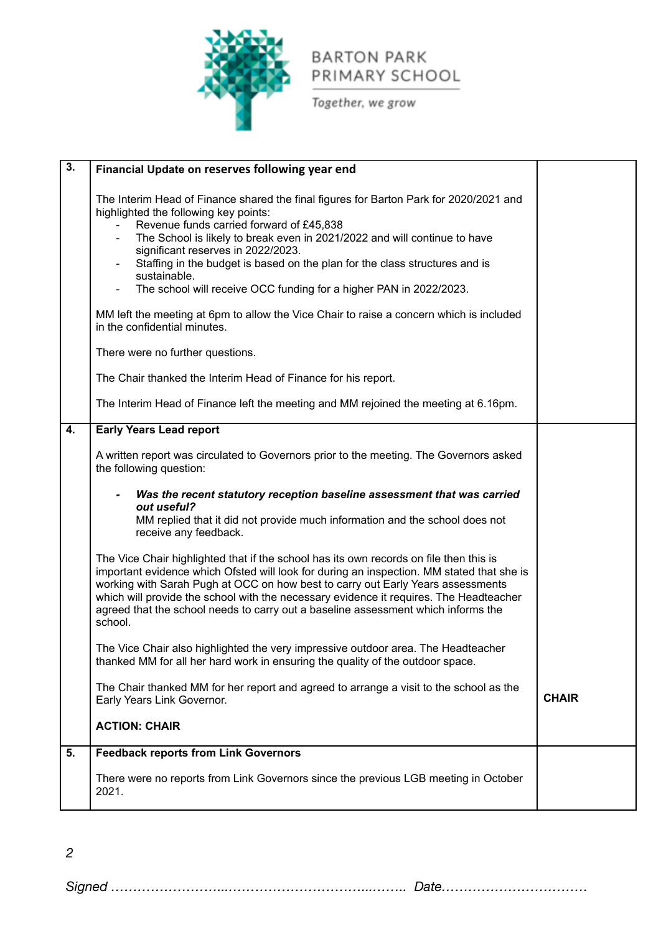

Together, we grow

| $\overline{3}$ . | Financial Update on reserves following year end                                                                                                                                                                                                                                                                                                                                                                                                                                                                                                                                                     |              |
|------------------|-----------------------------------------------------------------------------------------------------------------------------------------------------------------------------------------------------------------------------------------------------------------------------------------------------------------------------------------------------------------------------------------------------------------------------------------------------------------------------------------------------------------------------------------------------------------------------------------------------|--------------|
|                  |                                                                                                                                                                                                                                                                                                                                                                                                                                                                                                                                                                                                     |              |
|                  | The Interim Head of Finance shared the final figures for Barton Park for 2020/2021 and<br>highlighted the following key points:<br>Revenue funds carried forward of £45,838<br>The School is likely to break even in 2021/2022 and will continue to have<br>$\qquad \qquad \blacksquare$<br>significant reserves in 2022/2023.<br>Staffing in the budget is based on the plan for the class structures and is<br>-<br>sustainable.<br>The school will receive OCC funding for a higher PAN in 2022/2023.<br>MM left the meeting at 6pm to allow the Vice Chair to raise a concern which is included |              |
|                  | in the confidential minutes.                                                                                                                                                                                                                                                                                                                                                                                                                                                                                                                                                                        |              |
|                  | There were no further questions.                                                                                                                                                                                                                                                                                                                                                                                                                                                                                                                                                                    |              |
|                  | The Chair thanked the Interim Head of Finance for his report.                                                                                                                                                                                                                                                                                                                                                                                                                                                                                                                                       |              |
|                  | The Interim Head of Finance left the meeting and MM rejoined the meeting at 6.16pm.                                                                                                                                                                                                                                                                                                                                                                                                                                                                                                                 |              |
| 4.               | <b>Early Years Lead report</b>                                                                                                                                                                                                                                                                                                                                                                                                                                                                                                                                                                      |              |
|                  | A written report was circulated to Governors prior to the meeting. The Governors asked<br>the following question:                                                                                                                                                                                                                                                                                                                                                                                                                                                                                   |              |
|                  | Was the recent statutory reception baseline assessment that was carried<br>out useful?<br>MM replied that it did not provide much information and the school does not<br>receive any feedback.                                                                                                                                                                                                                                                                                                                                                                                                      |              |
|                  | The Vice Chair highlighted that if the school has its own records on file then this is<br>important evidence which Ofsted will look for during an inspection. MM stated that she is<br>working with Sarah Pugh at OCC on how best to carry out Early Years assessments<br>which will provide the school with the necessary evidence it requires. The Headteacher<br>agreed that the school needs to carry out a baseline assessment which informs the<br>school.                                                                                                                                    |              |
|                  | The Vice Chair also highlighted the very impressive outdoor area. The Headteacher<br>thanked MM for all her hard work in ensuring the quality of the outdoor space.                                                                                                                                                                                                                                                                                                                                                                                                                                 |              |
|                  | The Chair thanked MM for her report and agreed to arrange a visit to the school as the<br>Early Years Link Governor.                                                                                                                                                                                                                                                                                                                                                                                                                                                                                | <b>CHAIR</b> |
|                  | <b>ACTION: CHAIR</b>                                                                                                                                                                                                                                                                                                                                                                                                                                                                                                                                                                                |              |
| 5.               | <b>Feedback reports from Link Governors</b>                                                                                                                                                                                                                                                                                                                                                                                                                                                                                                                                                         |              |
|                  | There were no reports from Link Governors since the previous LGB meeting in October<br>2021.                                                                                                                                                                                                                                                                                                                                                                                                                                                                                                        |              |

*2*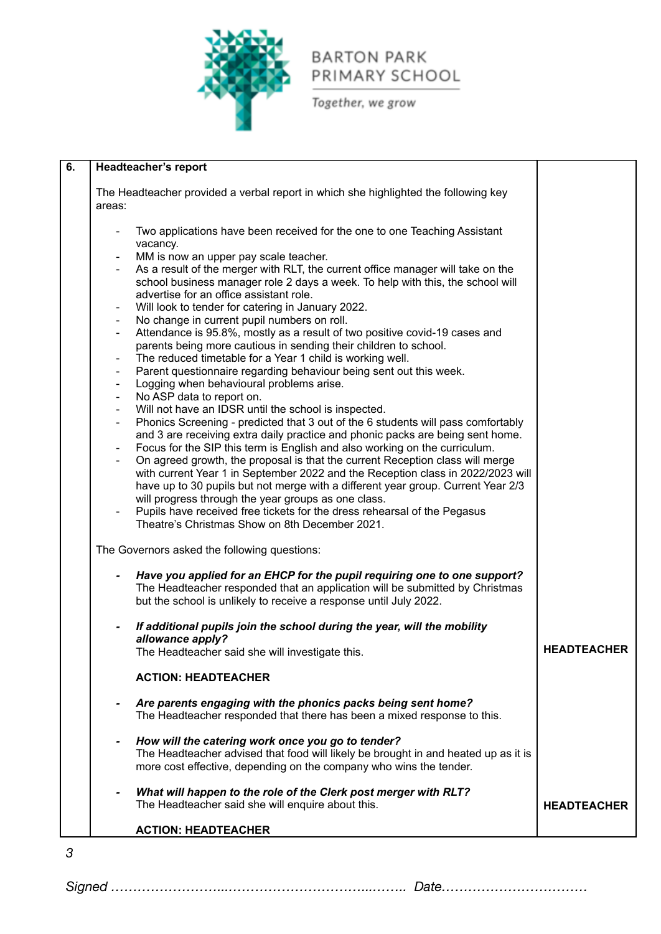

Together, we grow

|                | Headteacher's report                                                                                                                                                                                         |                    |
|----------------|--------------------------------------------------------------------------------------------------------------------------------------------------------------------------------------------------------------|--------------------|
|                | The Headteacher provided a verbal report in which she highlighted the following key                                                                                                                          |                    |
| areas:         |                                                                                                                                                                                                              |                    |
|                | Two applications have been received for the one to one Teaching Assistant                                                                                                                                    |                    |
|                | vacancy.<br>MM is now an upper pay scale teacher.                                                                                                                                                            |                    |
|                | As a result of the merger with RLT, the current office manager will take on the<br>school business manager role 2 days a week. To help with this, the school will<br>advertise for an office assistant role. |                    |
|                | Will look to tender for catering in January 2022.                                                                                                                                                            |                    |
| $\blacksquare$ | No change in current pupil numbers on roll.                                                                                                                                                                  |                    |
| $\blacksquare$ | Attendance is 95.8%, mostly as a result of two positive covid-19 cases and<br>parents being more cautious in sending their children to school.                                                               |                    |
| $\blacksquare$ | The reduced timetable for a Year 1 child is working well.                                                                                                                                                    |                    |
| $\blacksquare$ | Parent questionnaire regarding behaviour being sent out this week.                                                                                                                                           |                    |
| $\blacksquare$ | Logging when behavioural problems arise.                                                                                                                                                                     |                    |
| $\blacksquare$ | No ASP data to report on.                                                                                                                                                                                    |                    |
| $\blacksquare$ | Will not have an IDSR until the school is inspected.                                                                                                                                                         |                    |
| $\blacksquare$ | Phonics Screening - predicted that 3 out of the 6 students will pass comfortably                                                                                                                             |                    |
|                | and 3 are receiving extra daily practice and phonic packs are being sent home.                                                                                                                               |                    |
|                | Focus for the SIP this term is English and also working on the curriculum.                                                                                                                                   |                    |
| $\blacksquare$ | On agreed growth, the proposal is that the current Reception class will merge                                                                                                                                |                    |
|                | with current Year 1 in September 2022 and the Reception class in 2022/2023 will                                                                                                                              |                    |
|                | have up to 30 pupils but not merge with a different year group. Current Year 2/3                                                                                                                             |                    |
|                | will progress through the year groups as one class.                                                                                                                                                          |                    |
|                | Pupils have received free tickets for the dress rehearsal of the Pegasus<br>Theatre's Christmas Show on 8th December 2021.                                                                                   |                    |
|                |                                                                                                                                                                                                              |                    |
|                | The Governors asked the following questions:                                                                                                                                                                 |                    |
|                | Have you applied for an EHCP for the pupil requiring one to one support?<br>The Headteacher responded that an application will be submitted by Christmas                                                     |                    |
|                | but the school is unlikely to receive a response until July 2022.                                                                                                                                            |                    |
|                | If additional pupils join the school during the year, will the mobility                                                                                                                                      |                    |
|                | allowance apply?                                                                                                                                                                                             | <b>HEADTEACHER</b> |
|                | The Headteacher said she will investigate this.                                                                                                                                                              |                    |
|                | <b>ACTION: HEADTEACHER</b>                                                                                                                                                                                   |                    |
|                | Are parents engaging with the phonics packs being sent home?<br>The Headteacher responded that there has been a mixed response to this.                                                                      |                    |
|                |                                                                                                                                                                                                              |                    |
|                | How will the catering work once you go to tender?                                                                                                                                                            |                    |
|                | The Headteacher advised that food will likely be brought in and heated up as it is<br>more cost effective, depending on the company who wins the tender.                                                     |                    |
|                |                                                                                                                                                                                                              |                    |
|                | What will happen to the role of the Clerk post merger with RLT?                                                                                                                                              |                    |
|                | The Headteacher said she will enquire about this.                                                                                                                                                            | <b>HEADTEACHER</b> |
|                | <b>ACTION: HEADTEACHER</b>                                                                                                                                                                                   |                    |

*Signed ……………………...…………………………...…….. Date……………………………*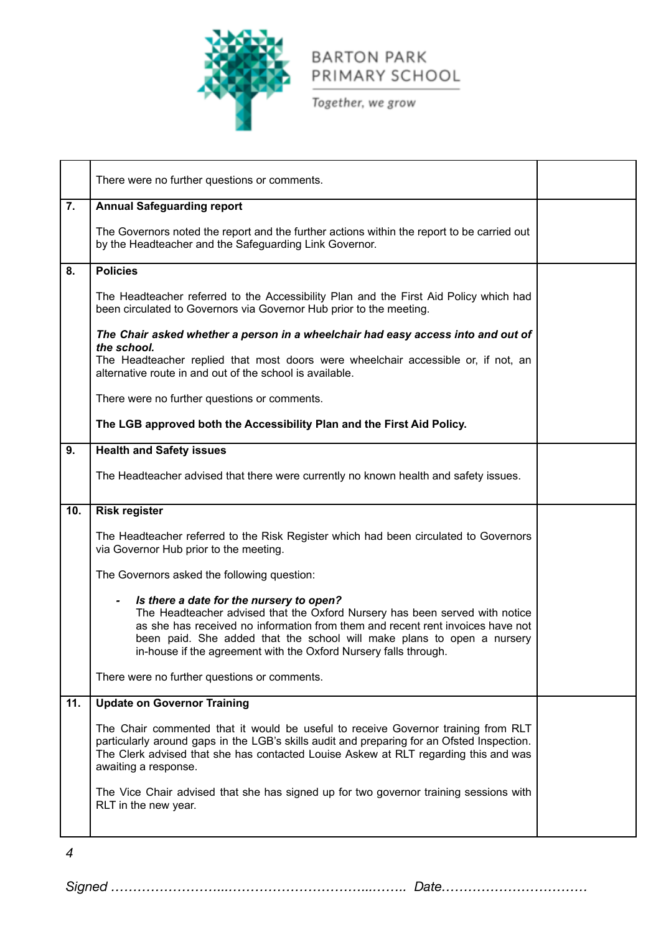

Together, we grow

|     | There were no further questions or comments.                                                                                                                                                                                                                                                                                                                              |  |
|-----|---------------------------------------------------------------------------------------------------------------------------------------------------------------------------------------------------------------------------------------------------------------------------------------------------------------------------------------------------------------------------|--|
| 7.  | <b>Annual Safeguarding report</b>                                                                                                                                                                                                                                                                                                                                         |  |
|     | The Governors noted the report and the further actions within the report to be carried out<br>by the Headteacher and the Safeguarding Link Governor.                                                                                                                                                                                                                      |  |
| 8.  | <b>Policies</b>                                                                                                                                                                                                                                                                                                                                                           |  |
|     | The Headteacher referred to the Accessibility Plan and the First Aid Policy which had<br>been circulated to Governors via Governor Hub prior to the meeting.                                                                                                                                                                                                              |  |
|     | The Chair asked whether a person in a wheelchair had easy access into and out of<br>the school.<br>The Headteacher replied that most doors were wheelchair accessible or, if not, an<br>alternative route in and out of the school is available.                                                                                                                          |  |
|     | There were no further questions or comments.                                                                                                                                                                                                                                                                                                                              |  |
|     | The LGB approved both the Accessibility Plan and the First Aid Policy.                                                                                                                                                                                                                                                                                                    |  |
| 9.  | <b>Health and Safety issues</b>                                                                                                                                                                                                                                                                                                                                           |  |
|     | The Headteacher advised that there were currently no known health and safety issues.                                                                                                                                                                                                                                                                                      |  |
|     |                                                                                                                                                                                                                                                                                                                                                                           |  |
| 10. | <b>Risk register</b>                                                                                                                                                                                                                                                                                                                                                      |  |
|     | The Headteacher referred to the Risk Register which had been circulated to Governors<br>via Governor Hub prior to the meeting.                                                                                                                                                                                                                                            |  |
|     | The Governors asked the following question:                                                                                                                                                                                                                                                                                                                               |  |
|     | Is there a date for the nursery to open?<br>$\blacksquare$<br>The Headteacher advised that the Oxford Nursery has been served with notice<br>as she has received no information from them and recent rent invoices have not<br>been paid. She added that the school will make plans to open a nursery<br>in-house if the agreement with the Oxford Nursery falls through. |  |
|     | There were no further questions or comments.                                                                                                                                                                                                                                                                                                                              |  |
| 11. | <b>Update on Governor Training</b>                                                                                                                                                                                                                                                                                                                                        |  |
|     | The Chair commented that it would be useful to receive Governor training from RLT<br>particularly around gaps in the LGB's skills audit and preparing for an Ofsted Inspection.<br>The Clerk advised that she has contacted Louise Askew at RLT regarding this and was<br>awaiting a response.                                                                            |  |
|     | The Vice Chair advised that she has signed up for two governor training sessions with<br>RLT in the new year.                                                                                                                                                                                                                                                             |  |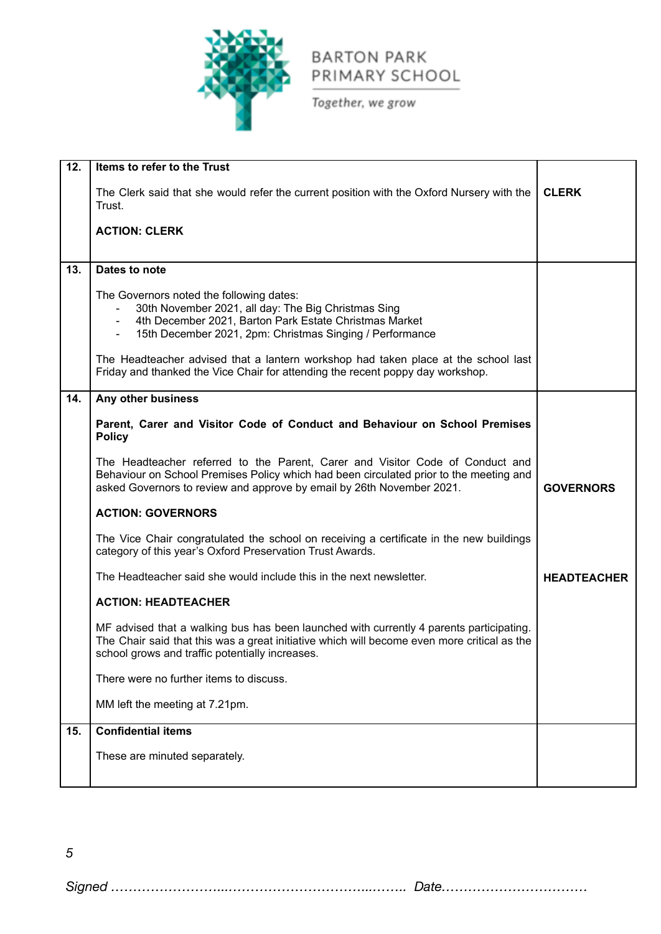

Together, we grow

| 12. | Items to refer to the Trust                                                                                                                                                                                                                      |                    |
|-----|--------------------------------------------------------------------------------------------------------------------------------------------------------------------------------------------------------------------------------------------------|--------------------|
|     | The Clerk said that she would refer the current position with the Oxford Nursery with the<br>Trust.                                                                                                                                              | <b>CLERK</b>       |
|     | <b>ACTION: CLERK</b>                                                                                                                                                                                                                             |                    |
| 13. | Dates to note                                                                                                                                                                                                                                    |                    |
|     | The Governors noted the following dates:<br>30th November 2021, all day: The Big Christmas Sing<br>4th December 2021, Barton Park Estate Christmas Market<br>15th December 2021, 2pm: Christmas Singing / Performance                            |                    |
|     | The Headteacher advised that a lantern workshop had taken place at the school last<br>Friday and thanked the Vice Chair for attending the recent poppy day workshop.                                                                             |                    |
| 14. | Any other business                                                                                                                                                                                                                               |                    |
|     | Parent, Carer and Visitor Code of Conduct and Behaviour on School Premises<br><b>Policy</b>                                                                                                                                                      |                    |
|     | The Headteacher referred to the Parent, Carer and Visitor Code of Conduct and<br>Behaviour on School Premises Policy which had been circulated prior to the meeting and<br>asked Governors to review and approve by email by 26th November 2021. | <b>GOVERNORS</b>   |
|     | <b>ACTION: GOVERNORS</b>                                                                                                                                                                                                                         |                    |
|     | The Vice Chair congratulated the school on receiving a certificate in the new buildings<br>category of this year's Oxford Preservation Trust Awards.                                                                                             |                    |
|     | The Headteacher said she would include this in the next newsletter.                                                                                                                                                                              | <b>HEADTEACHER</b> |
|     | <b>ACTION: HEADTEACHER</b>                                                                                                                                                                                                                       |                    |
|     | MF advised that a walking bus has been launched with currently 4 parents participating.<br>The Chair said that this was a great initiative which will become even more critical as the<br>school grows and traffic potentially increases.        |                    |
|     | There were no further items to discuss.                                                                                                                                                                                                          |                    |
|     | MM left the meeting at 7.21pm.                                                                                                                                                                                                                   |                    |
| 15. | <b>Confidential items</b>                                                                                                                                                                                                                        |                    |
|     | These are minuted separately.                                                                                                                                                                                                                    |                    |
|     |                                                                                                                                                                                                                                                  |                    |